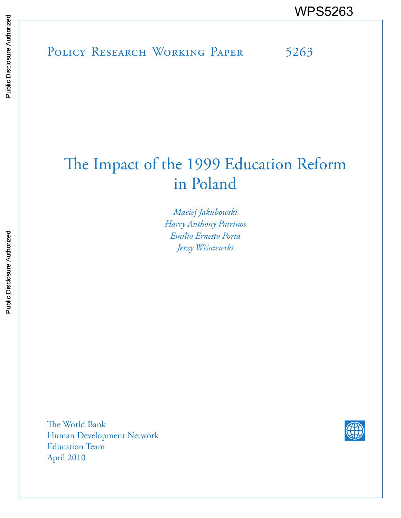# The Impact of the 1999 Education Reform in Poland

*Maciej Jakubowski Harry Anthony Patrinos Emilio Ernesto Porta Jerzy Wiśniewski*

The World Bank Human Development Network Education Team April 2010

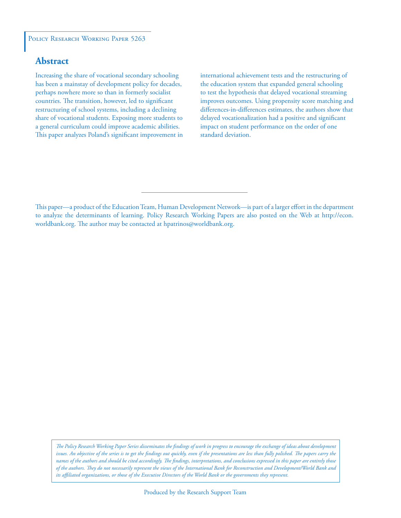#### POLICY RESEARCH WORKING PAPER 5263

# **Abstract**

Increasing the share of vocational secondary schooling has been a mainstay of development policy for decades, perhaps nowhere more so than in formerly socialist countries. The transition, however, led to significant restructuring of school systems, including a declining share of vocational students. Exposing more students to a general curriculum could improve academic abilities. This paper analyzes Poland's significant improvement in international achievement tests and the restructuring of the education system that expanded general schooling to test the hypothesis that delayed vocational streaming improves outcomes. Using propensity score matching and differences-in-differences estimates, the authors show that delayed vocationalization had a positive and significant impact on student performance on the order of one standard deviation.

This paper—a product of the Education Team, Human Development Network—is part of a larger effort in the department to analyze the determinants of learning. Policy Research Working Papers are also posted on the Web at http://econ. worldbank.org. The author may be contacted at hpatrinos@worldbank.org.

*The Policy Research Working Paper Series disseminates the findings of work in progress to encourage the exchange of ideas about development*  issues. An objective of the series is to get the findings out quickly, even if the presentations are less than fully polished. The papers carry the *names of the authors and should be cited accordingly. The findings, interpretations, and conclusions expressed in this paper are entirely those of the authors. They do not necessarily represent the views of the International Bank for Reconstruction and Development/World Bank and its affiliated organizations, or those of the Executive Directors of the World Bank or the governments they represent.*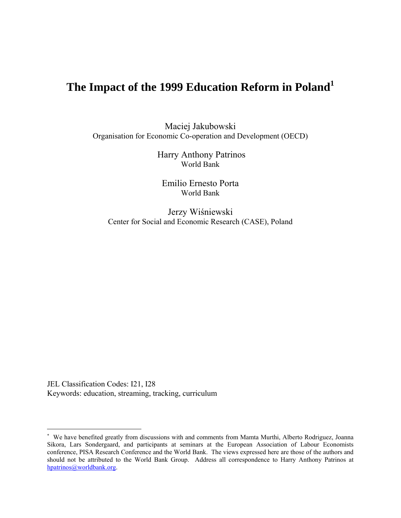# **The Impact of the 1999 Education Reform in Poland<sup>1</sup>**

Maciej Jakubowski Organisation for Economic Co-operation and Development (OECD)

> Harry Anthony Patrinos World Bank

Emilio Ernesto Porta World Bank

Jerzy Wiśniewski Center for Social and Economic Research (CASE), Poland

JEL Classification Codes: I21, I28 Keywords: education, streaming, tracking, curriculum

 $\overline{a}$ 

 We have benefited greatly from discussions with and comments from Mamta Murthi, Alberto Rodriguez, Joanna Sikora, Lars Sondergaard, and participants at seminars at the European Association of Labour Economists conference, PISA Research Conference and the World Bank. The views expressed here are those of the authors and should not be attributed to the World Bank Group. Address all correspondence to Harry Anthony Patrinos at hpatrinos@worldbank.org.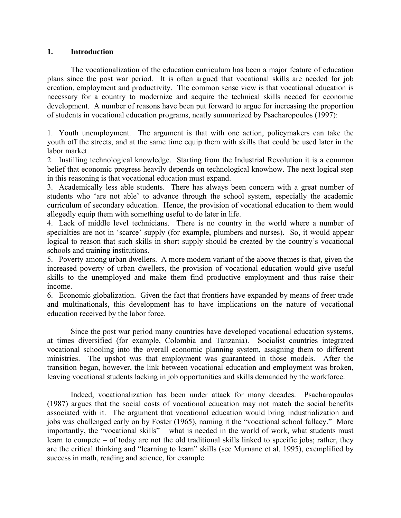# **1. Introduction**

The vocationalization of the education curriculum has been a major feature of education plans since the post war period. It is often argued that vocational skills are needed for job creation, employment and productivity. The common sense view is that vocational education is necessary for a country to modernize and acquire the technical skills needed for economic development. A number of reasons have been put forward to argue for increasing the proportion of students in vocational education programs, neatly summarized by Psacharopoulos (1997):

1. Youth unemployment. The argument is that with one action, policymakers can take the youth off the streets, and at the same time equip them with skills that could be used later in the labor market.

2. Instilling technological knowledge. Starting from the Industrial Revolution it is a common belief that economic progress heavily depends on technological knowhow. The next logical step in this reasoning is that vocational education must expand.

3. Academically less able students. There has always been concern with a great number of students who 'are not able' to advance through the school system, especially the academic curriculum of secondary education. Hence, the provision of vocational education to them would allegedly equip them with something useful to do later in life.

4. Lack of middle level technicians. There is no country in the world where a number of specialties are not in 'scarce' supply (for example, plumbers and nurses). So, it would appear logical to reason that such skills in short supply should be created by the country's vocational schools and training institutions.

5. Poverty among urban dwellers. A more modern variant of the above themes is that, given the increased poverty of urban dwellers, the provision of vocational education would give useful skills to the unemployed and make them find productive employment and thus raise their income.

6. Economic globalization. Given the fact that frontiers have expanded by means of freer trade and multinationals, this development has to have implications on the nature of vocational education received by the labor force.

Since the post war period many countries have developed vocational education systems, at times diversified (for example, Colombia and Tanzania). Socialist countries integrated vocational schooling into the overall economic planning system, assigning them to different ministries. The upshot was that employment was guaranteed in those models. After the transition began, however, the link between vocational education and employment was broken, leaving vocational students lacking in job opportunities and skills demanded by the workforce.

Indeed, vocationalization has been under attack for many decades. Psacharopoulos (1987) argues that the social costs of vocational education may not match the social benefits associated with it. The argument that vocational education would bring industrialization and jobs was challenged early on by Foster (1965), naming it the "vocational school fallacy." More importantly, the "vocational skills" – what is needed in the world of work, what students must learn to compete – of today are not the old traditional skills linked to specific jobs; rather, they are the critical thinking and "learning to learn" skills (see Murnane et al. 1995), exemplified by success in math, reading and science, for example.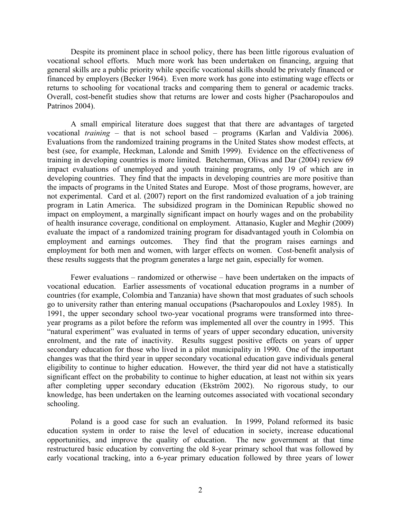Despite its prominent place in school policy, there has been little rigorous evaluation of vocational school efforts. Much more work has been undertaken on financing, arguing that general skills are a public priority while specific vocational skills should be privately financed or financed by employers (Becker 1964). Even more work has gone into estimating wage effects or returns to schooling for vocational tracks and comparing them to general or academic tracks. Overall, cost-benefit studies show that returns are lower and costs higher (Psacharopoulos and Patrinos 2004).

A small empirical literature does suggest that that there are advantages of targeted vocational *training* – that is not school based – programs (Karlan and Valdivia 2006). Evaluations from the randomized training programs in the United States show modest effects, at best (see, for example, Heckman, Lalonde and Smith 1999). Evidence on the effectiveness of training in developing countries is more limited. Betcherman, Olivas and Dar (2004) review 69 impact evaluations of unemployed and youth training programs, only 19 of which are in developing countries. They find that the impacts in developing countries are more positive than the impacts of programs in the United States and Europe. Most of those programs, however, are not experimental. Card et al. (2007) report on the first randomized evaluation of a job training program in Latin America. The subsidized program in the Dominican Republic showed no impact on employment, a marginally significant impact on hourly wages and on the probability of health insurance coverage, conditional on employment. Attanasio, Kugler and Meghir (2009) evaluate the impact of a randomized training program for disadvantaged youth in Colombia on employment and earnings outcomes. They find that the program raises earnings and employment for both men and women, with larger effects on women. Cost-benefit analysis of these results suggests that the program generates a large net gain, especially for women.

Fewer evaluations – randomized or otherwise – have been undertaken on the impacts of vocational education. Earlier assessments of vocational education programs in a number of countries (for example, Colombia and Tanzania) have shown that most graduates of such schools go to university rather than entering manual occupations (Psacharopoulos and Loxley 1985). In 1991, the upper secondary school two-year vocational programs were transformed into threeyear programs as a pilot before the reform was implemented all over the country in 1995. This "natural experiment" was evaluated in terms of years of upper secondary education, university enrolment, and the rate of inactivity. Results suggest positive effects on years of upper secondary education for those who lived in a pilot municipality in 1990. One of the important changes was that the third year in upper secondary vocational education gave individuals general eligibility to continue to higher education. However, the third year did not have a statistically significant effect on the probability to continue to higher education, at least not within six years after completing upper secondary education (Ekström 2002). No rigorous study, to our knowledge, has been undertaken on the learning outcomes associated with vocational secondary schooling.

Poland is a good case for such an evaluation. In 1999, Poland reformed its basic education system in order to raise the level of education in society, increase educational opportunities, and improve the quality of education. The new government at that time restructured basic education by converting the old 8-year primary school that was followed by early vocational tracking, into a 6-year primary education followed by three years of lower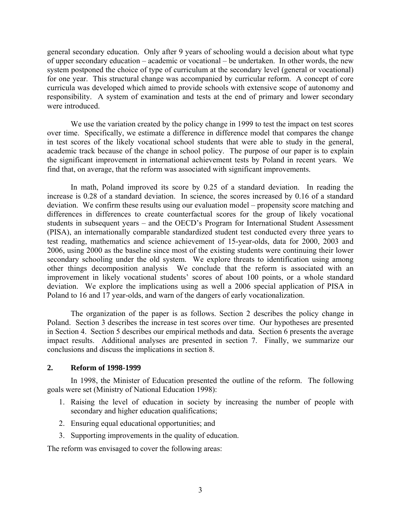general secondary education. Only after 9 years of schooling would a decision about what type of upper secondary education – academic or vocational – be undertaken. In other words, the new system postponed the choice of type of curriculum at the secondary level (general or vocational) for one year. This structural change was accompanied by curricular reform. A concept of core curricula was developed which aimed to provide schools with extensive scope of autonomy and responsibility. A system of examination and tests at the end of primary and lower secondary were introduced.

We use the variation created by the policy change in 1999 to test the impact on test scores over time. Specifically, we estimate a difference in difference model that compares the change in test scores of the likely vocational school students that were able to study in the general, academic track because of the change in school policy. The purpose of our paper is to explain the significant improvement in international achievement tests by Poland in recent years. We find that, on average, that the reform was associated with significant improvements.

In math, Poland improved its score by 0.25 of a standard deviation. In reading the increase is 0.28 of a standard deviation. In science, the scores increased by 0.16 of a standard deviation. We confirm these results using our evaluation model – propensity score matching and differences in differences to create counterfactual scores for the group of likely vocational students in subsequent years – and the OECD's Program for International Student Assessment (PISA), an internationally comparable standardized student test conducted every three years to test reading, mathematics and science achievement of 15-year-olds, data for 2000, 2003 and 2006, using 2000 as the baseline since most of the existing students were continuing their lower secondary schooling under the old system. We explore threats to identification using among other things decomposition analysis We conclude that the reform is associated with an improvement in likely vocational students' scores of about 100 points, or a whole standard deviation. We explore the implications using as well a 2006 special application of PISA in Poland to 16 and 17 year-olds, and warn of the dangers of early vocationalization.

The organization of the paper is as follows. Section 2 describes the policy change in Poland. Section 3 describes the increase in test scores over time. Our hypotheses are presented in Section 4. Section 5 describes our empirical methods and data. Section 6 presents the average impact results. Additional analyses are presented in section 7. Finally, we summarize our conclusions and discuss the implications in section 8.

#### **2. Reform of 1998-1999**

In 1998, the Minister of Education presented the outline of the reform. The following goals were set (Ministry of National Education 1998):

- 1. Raising the level of education in society by increasing the number of people with secondary and higher education qualifications;
- 2. Ensuring equal educational opportunities; and
- 3. Supporting improvements in the quality of education.

The reform was envisaged to cover the following areas: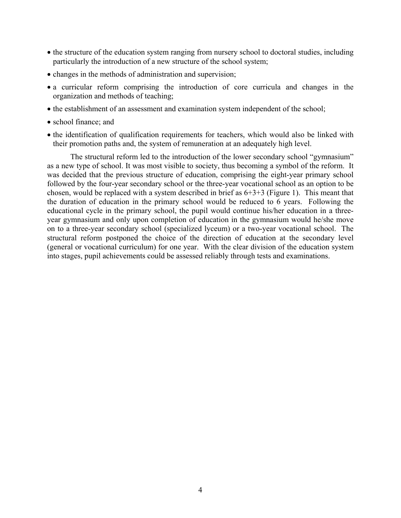- the structure of the education system ranging from nursery school to doctoral studies, including particularly the introduction of a new structure of the school system;
- changes in the methods of administration and supervision;
- a curricular reform comprising the introduction of core curricula and changes in the organization and methods of teaching;
- the establishment of an assessment and examination system independent of the school;
- school finance; and
- the identification of qualification requirements for teachers, which would also be linked with their promotion paths and, the system of remuneration at an adequately high level.

The structural reform led to the introduction of the lower secondary school "gymnasium" as a new type of school. It was most visible to society, thus becoming a symbol of the reform. It was decided that the previous structure of education, comprising the eight-year primary school followed by the four-year secondary school or the three-year vocational school as an option to be chosen, would be replaced with a system described in brief as  $6+3+3$  (Figure 1). This meant that the duration of education in the primary school would be reduced to 6 years. Following the educational cycle in the primary school, the pupil would continue his/her education in a threeyear gymnasium and only upon completion of education in the gymnasium would he/she move on to a three-year secondary school (specialized lyceum) or a two-year vocational school. The structural reform postponed the choice of the direction of education at the secondary level (general or vocational curriculum) for one year. With the clear division of the education system into stages, pupil achievements could be assessed reliably through tests and examinations.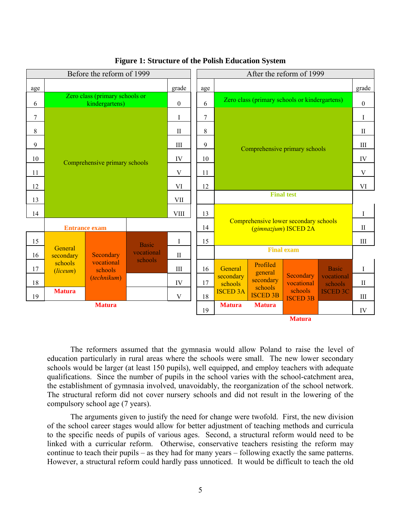| Before the reform of 1999 |                      |                                                  |              |                  | After the reform of 1999 |                                                               |                               |                            |                       |                  |
|---------------------------|----------------------|--------------------------------------------------|--------------|------------------|--------------------------|---------------------------------------------------------------|-------------------------------|----------------------------|-----------------------|------------------|
| age                       |                      | grade                                            |              |                  | age                      |                                                               |                               |                            |                       | grade            |
| 6                         |                      | Zero class (primary schools or<br>kindergartens) |              | $\boldsymbol{0}$ | 6                        | Zero class (primary schools or kindergartens)                 |                               |                            |                       | $\boldsymbol{0}$ |
| 7                         |                      |                                                  |              | $\bf{I}$         | $\overline{7}$           |                                                               |                               |                            |                       |                  |
| 8                         |                      |                                                  |              | $\mathbf{I}$     | 8                        |                                                               |                               |                            |                       | $\mathbf{I}$     |
| 9                         |                      |                                                  |              | III              | $\boldsymbol{9}$         |                                                               | Comprehensive primary schools |                            |                       | III              |
| 10                        |                      |                                                  |              | IV               | 10                       |                                                               |                               |                            |                       | IV               |
| 11                        |                      | Comprehensive primary schools                    |              | V                | 11                       |                                                               |                               |                            | V                     |                  |
| 12                        |                      |                                                  |              |                  | 12                       |                                                               |                               |                            |                       |                  |
| 13                        |                      |                                                  |              | <b>VII</b>       |                          | <b>Final test</b>                                             |                               |                            |                       |                  |
| 14                        |                      |                                                  |              | <b>VIII</b>      | 13                       |                                                               |                               |                            | I                     |                  |
|                           |                      | <b>Entrance exam</b>                             |              |                  | 14                       | Comprehensive lower secondary schools<br>(gimnazjum) ISCED 2A |                               |                            | $\rm II$              |                  |
| 15                        |                      |                                                  | <b>Basic</b> | I                | 15                       |                                                               |                               |                            |                       | III              |
| 16                        | General<br>secondary | Secondary                                        | vocational   | $\mathbf{I}$     |                          |                                                               |                               | <b>Final exam</b>          |                       |                  |
| 17                        | schools<br>(liceum)  | vocational<br>schools                            | schools      | III              | 16                       | General                                                       | Profiled                      |                            | <b>Basic</b>          | $\mathbf I$      |
| 18                        |                      | (technikum)                                      |              | IV               | 17                       | secondary<br>schools                                          | general<br>secondary          | Secondary<br>vocational    | vocational<br>schools | $\mathbf{I}$     |
| 19                        | <b>Matura</b>        |                                                  |              | $\mathbf V$      | 18                       | <b>ISCED 3A</b>                                               | schools<br><b>ISCED 3B</b>    | schools<br><b>ISCED 3B</b> | <b>ISCED 3C</b>       | $\rm III$        |
|                           |                      | <b>Matura</b>                                    |              |                  | 19                       | <b>Matura</b>                                                 | <b>Matura</b>                 |                            |                       | IV               |
|                           |                      |                                                  |              |                  |                          |                                                               |                               | <b>Matura</b>              |                       |                  |

#### **Figure 1: Structure of the Polish Education System**

The reformers assumed that the gymnasia would allow Poland to raise the level of education particularly in rural areas where the schools were small. The new lower secondary schools would be larger (at least 150 pupils), well equipped, and employ teachers with adequate qualifications. Since the number of pupils in the school varies with the school-catchment area, the establishment of gymnasia involved, unavoidably, the reorganization of the school network. The structural reform did not cover nursery schools and did not result in the lowering of the compulsory school age (7 years).

The arguments given to justify the need for change were twofold. First, the new division of the school career stages would allow for better adjustment of teaching methods and curricula to the specific needs of pupils of various ages. Second, a structural reform would need to be linked with a curricular reform. Otherwise, conservative teachers resisting the reform may continue to teach their pupils – as they had for many years – following exactly the same patterns. However, a structural reform could hardly pass unnoticed. It would be difficult to teach the old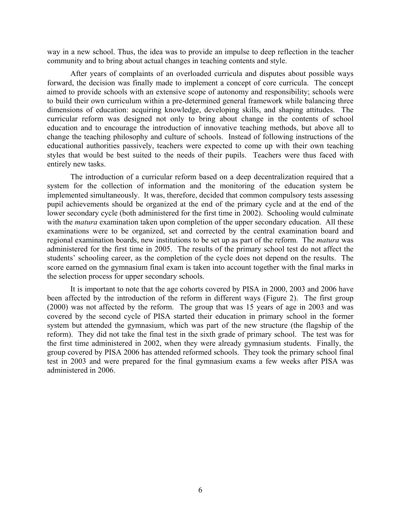way in a new school. Thus, the idea was to provide an impulse to deep reflection in the teacher community and to bring about actual changes in teaching contents and style.

After years of complaints of an overloaded curricula and disputes about possible ways forward, the decision was finally made to implement a concept of core curricula. The concept aimed to provide schools with an extensive scope of autonomy and responsibility; schools were to build their own curriculum within a pre-determined general framework while balancing three dimensions of education: acquiring knowledge, developing skills, and shaping attitudes. The curricular reform was designed not only to bring about change in the contents of school education and to encourage the introduction of innovative teaching methods, but above all to change the teaching philosophy and culture of schools. Instead of following instructions of the educational authorities passively, teachers were expected to come up with their own teaching styles that would be best suited to the needs of their pupils. Teachers were thus faced with entirely new tasks.

The introduction of a curricular reform based on a deep decentralization required that a system for the collection of information and the monitoring of the education system be implemented simultaneously. It was, therefore, decided that common compulsory tests assessing pupil achievements should be organized at the end of the primary cycle and at the end of the lower secondary cycle (both administered for the first time in 2002). Schooling would culminate with the *matura* examination taken upon completion of the upper secondary education. All these examinations were to be organized, set and corrected by the central examination board and regional examination boards, new institutions to be set up as part of the reform. The *matura* was administered for the first time in 2005. The results of the primary school test do not affect the students' schooling career, as the completion of the cycle does not depend on the results. The score earned on the gymnasium final exam is taken into account together with the final marks in the selection process for upper secondary schools.

It is important to note that the age cohorts covered by PISA in 2000, 2003 and 2006 have been affected by the introduction of the reform in different ways (Figure 2). The first group (2000) was not affected by the reform. The group that was 15 years of age in 2003 and was covered by the second cycle of PISA started their education in primary school in the former system but attended the gymnasium, which was part of the new structure (the flagship of the reform). They did not take the final test in the sixth grade of primary school. The test was for the first time administered in 2002, when they were already gymnasium students. Finally, the group covered by PISA 2006 has attended reformed schools. They took the primary school final test in 2003 and were prepared for the final gymnasium exams a few weeks after PISA was administered in 2006.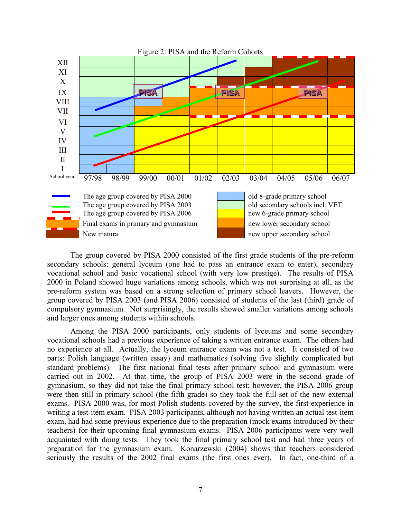

The group covered by PISA 2000 consisted of the first grade students of the pre-reform secondary schools: general lyceum (one had to pass an entrance exam to enter), secondary vocational school and basic vocational school (with very low prestige). The results of PISA 2000 in Poland showed huge variations among schools, which was not surprising at all, as the pre-reform system was based on a strong selection of primary school leavers. However, the group covered by PISA 2003 (and PISA 2006) consisted of students of the last (third) grade of compulsory gymnasium. Not surprisingly, the results showed smaller variations among schools and larger ones among students within schools.

Among the PISA 2000 participants, only students of lyceums and some secondary vocational schools had a previous experience of taking a written entrance exam. The others had no experience at all. Actually, the lyceum entrance exam was not a test. It consisted of two parts: Polish language (written essay) and mathematics (solving five slightly complicated but standard problems). The first national final tests after primary school and gymnasium were carried out in 2002. At that time, the group of PISA 2003 were in the second grade of gymnasium, so they did not take the final primary school test; however, the PISA 2006 group were then still in primary school (the fifth grade) so they took the full set of the new external exams. PISA 2000 was, for most Polish students covered by the survey, the first experience in writing a test-item exam. PISA 2003 participants, although not having written an actual test-item exam, had had some previous experience due to the preparation (mock exams introduced by their teachers) for their upcoming final gymnasium exams. PISA 2006 participants were very well acquainted with doing tests. They took the final primary school test and had three years of preparation for the gymnasium exam. Konarzewski (2004) shows that teachers considered seriously the results of the 2002 final exams (the first ones ever). In fact, one-third of a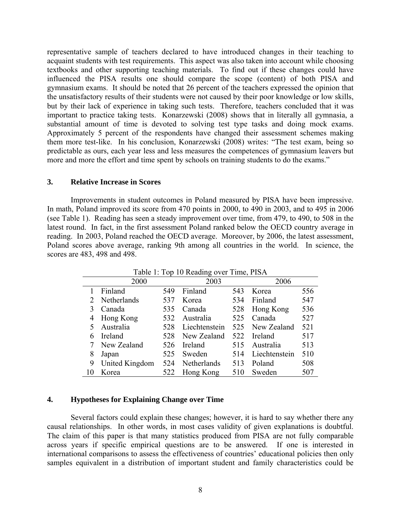representative sample of teachers declared to have introduced changes in their teaching to acquaint students with test requirements. This aspect was also taken into account while choosing textbooks and other supporting teaching materials. To find out if these changes could have influenced the PISA results one should compare the scope (content) of both PISA and gymnasium exams. It should be noted that 26 percent of the teachers expressed the opinion that the unsatisfactory results of their students were not caused by their poor knowledge or low skills, but by their lack of experience in taking such tests. Therefore, teachers concluded that it was important to practice taking tests. Konarzewski (2008) shows that in literally all gymnasia, a substantial amount of time is devoted to solving test type tasks and doing mock exams. Approximately 5 percent of the respondents have changed their assessment schemes making them more test-like. In his conclusion, Konarzewski (2008) writes: "The test exam, being so predictable as ours, each year less and less measures the competences of gymnasium leavers but more and more the effort and time spent by schools on training students to do the exams."

#### **3. Relative Increase in Scores**

Improvements in student outcomes in Poland measured by PISA have been impressive. In math, Poland improved its score from 470 points in 2000, to 490 in 2003, and to 495 in 2006 (see Table 1). Reading has seen a steady improvement over time, from 479, to 490, to 508 in the latest round. In fact, in the first assessment Poland ranked below the OECD country average in reading. In 2003, Poland reached the OECD average. Moreover, by 2006, the latest assessment, Poland scores above average, ranking 9th among all countries in the world. In science, the scores are 483, 498 and 498.

|                       | 2000           |     | Table 1. Top To Reading over Thile, FISA<br>2003 |     | 2006          |     |
|-----------------------|----------------|-----|--------------------------------------------------|-----|---------------|-----|
|                       | Finland        | 549 | Finland                                          | 543 | Korea         | 556 |
| $\mathcal{D}_{\cdot}$ | Netherlands    | 537 | Korea                                            | 534 | Finland       | 547 |
|                       | Canada         | 535 | Canada                                           | 528 | Hong Kong     | 536 |
| 4                     | Hong Kong      | 532 | Australia                                        | 525 | Canada        | 527 |
|                       | Australia      | 528 | Liechtenstein                                    | 525 | New Zealand   | 521 |
| 6                     | Ireland        | 528 | New Zealand                                      | 522 | Ireland       | 517 |
|                       | New Zealand    | 526 | Ireland                                          | 515 | Australia     | 513 |
| 8                     | Japan          | 525 | Sweden                                           | 514 | Liechtenstein | 510 |
| 9                     | United Kingdom | 524 | Netherlands                                      | 513 | Poland        | 508 |
| 10                    | Korea          | 522 | Hong Kong                                        | 510 | Sweden        | 507 |

Table 1: Top 10 Reading over Time, PISA

#### **4. Hypotheses for Explaining Change over Time**

Several factors could explain these changes; however, it is hard to say whether there any causal relationships. In other words, in most cases validity of given explanations is doubtful. The claim of this paper is that many statistics produced from PISA are not fully comparable across years if specific empirical questions are to be answered. If one is interested in international comparisons to assess the effectiveness of countries' educational policies then only samples equivalent in a distribution of important student and family characteristics could be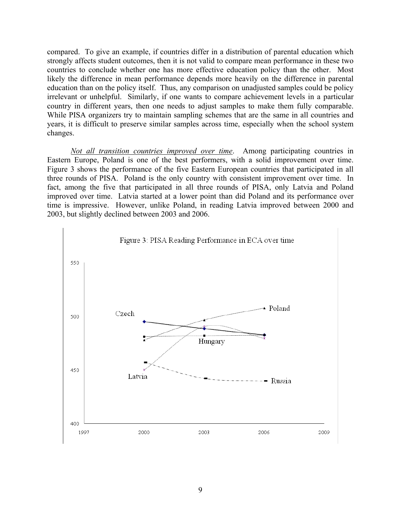compared. To give an example, if countries differ in a distribution of parental education which strongly affects student outcomes, then it is not valid to compare mean performance in these two countries to conclude whether one has more effective education policy than the other. Most likely the difference in mean performance depends more heavily on the difference in parental education than on the policy itself. Thus, any comparison on unadjusted samples could be policy irrelevant or unhelpful. Similarly, if one wants to compare achievement levels in a particular country in different years, then one needs to adjust samples to make them fully comparable. While PISA organizers try to maintain sampling schemes that are the same in all countries and years, it is difficult to preserve similar samples across time, especially when the school system changes.

*Not all transition countries improved over time*. Among participating countries in Eastern Europe, Poland is one of the best performers, with a solid improvement over time. Figure 3 shows the performance of the five Eastern European countries that participated in all three rounds of PISA. Poland is the only country with consistent improvement over time. In fact, among the five that participated in all three rounds of PISA, only Latvia and Poland improved over time. Latvia started at a lower point than did Poland and its performance over time is impressive. However, unlike Poland, in reading Latvia improved between 2000 and 2003, but slightly declined between 2003 and 2006.

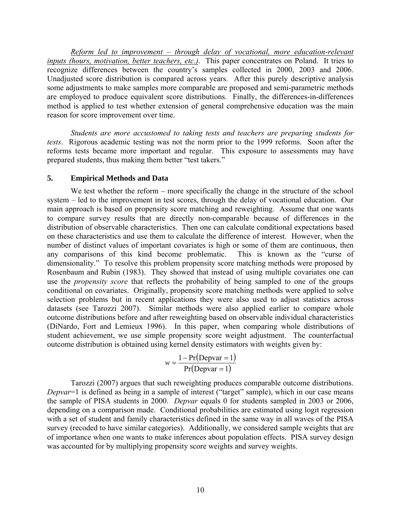*Reform led to improvement – through delay of vocational, more education-relevant inputs (hours, motivation, better teachers, etc.)*. This paper concentrates on Poland. It tries to recognize differences between the country's samples collected in 2000, 2003 and 2006. Unadjusted score distribution is compared across years. After this purely descriptive analysis some adjustments to make samples more comparable are proposed and semi-parametric methods are employed to produce equivalent score distributions. Finally, the differences-in-differences method is applied to test whether extension of general comprehensive education was the main reason for score improvement over time.

*Students are more accustomed to taking tests and teachers are preparing students for tests*. Rigorous academic testing was not the norm prior to the 1999 reforms. Soon after the reforms tests became more important and regular. This exposure to assessments may have prepared students, thus making them better "test takers."

# **5. Empirical Methods and Data**

We test whether the reform – more specifically the change in the structure of the school system – led to the improvement in test scores, through the delay of vocational education. Our main approach is based on propensity score matching and reweighting. Assume that one wants to compare survey results that are directly non-comparable because of differences in the distribution of observable characteristics. Then one can calculate conditional expectations based on these characteristics and use them to calculate the difference of interest. However, when the number of distinct values of important covariates is high or some of them are continuous, then any comparisons of this kind become problematic. This is known as the "curse of dimensionality." To resolve this problem propensity score matching methods were proposed by Rosenbaum and Rubin (1983). They showed that instead of using multiple covariates one can use the *propensity score* that reflects the probability of being sampled to one of the groups conditional on covariates. Originally, propensity score matching methods were applied to solve selection problems but in recent applications they were also used to adjust statistics across datasets (see Tarozzi 2007). Similar methods were also applied earlier to compare whole outcome distributions before and after reweighting based on observable individual characteristics (DiNardo, Fort and Lemieux 1996). In this paper, when comparing whole distributions of student achievement, we use simple propensity score weight adjustment. The counterfactual outcome distribution is obtained using kernel density estimators with weights given by:

$$
w = \frac{1 - \Pr(\text{Depvar} = 1)}{\Pr(\text{Depvar} = 1)}
$$

Tarozzi (2007) argues that such reweighting produces comparable outcome distributions. *Depvar*=1 is defined as being in a sample of interest ("target" sample), which in our case means the sample of PISA students in 2000. *Depvar* equals 0 for students sampled in 2003 or 2006, depending on a comparison made. Conditional probabilities are estimated using logit regression with a set of student and family characteristics defined in the same way in all waves of the PISA survey (recoded to have similar categories). Additionally, we considered sample weights that are of importance when one wants to make inferences about population effects. PISA survey design was accounted for by multiplying propensity score weights and survey weights.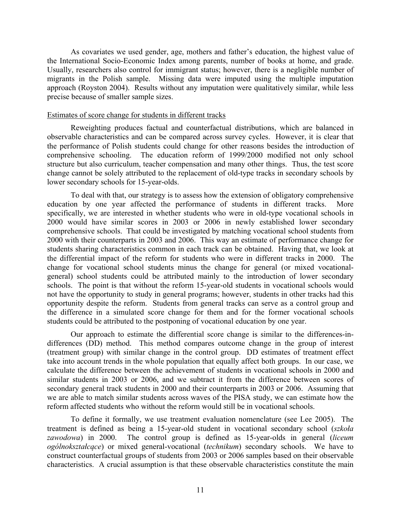As covariates we used gender, age, mothers and father's education, the highest value of the International Socio-Economic Index among parents, number of books at home, and grade. Usually, researchers also control for immigrant status; however, there is a negligible number of migrants in the Polish sample. Missing data were imputed using the multiple imputation approach (Royston 2004). Results without any imputation were qualitatively similar, while less precise because of smaller sample sizes.

#### Estimates of score change for students in different tracks

Reweighting produces factual and counterfactual distributions, which are balanced in observable characteristics and can be compared across survey cycles. However, it is clear that the performance of Polish students could change for other reasons besides the introduction of comprehensive schooling. The education reform of 1999/2000 modified not only school structure but also curriculum, teacher compensation and many other things. Thus, the test score change cannot be solely attributed to the replacement of old-type tracks in secondary schools by lower secondary schools for 15-year-olds.

To deal with that, our strategy is to assess how the extension of obligatory comprehensive education by one year affected the performance of students in different tracks. More specifically, we are interested in whether students who were in old-type vocational schools in 2000 would have similar scores in 2003 or 2006 in newly established lower secondary comprehensive schools. That could be investigated by matching vocational school students from 2000 with their counterparts in 2003 and 2006. This way an estimate of performance change for students sharing characteristics common in each track can be obtained. Having that, we look at the differential impact of the reform for students who were in different tracks in 2000. The change for vocational school students minus the change for general (or mixed vocationalgeneral) school students could be attributed mainly to the introduction of lower secondary schools. The point is that without the reform 15-year-old students in vocational schools would not have the opportunity to study in general programs; however, students in other tracks had this opportunity despite the reform. Students from general tracks can serve as a control group and the difference in a simulated score change for them and for the former vocational schools students could be attributed to the postponing of vocational education by one year.

Our approach to estimate the differential score change is similar to the differences-indifferences (DD) method. This method compares outcome change in the group of interest (treatment group) with similar change in the control group. DD estimates of treatment effect take into account trends in the whole population that equally affect both groups. In our case, we calculate the difference between the achievement of students in vocational schools in 2000 and similar students in 2003 or 2006, and we subtract it from the difference between scores of secondary general track students in 2000 and their counterparts in 2003 or 2006. Assuming that we are able to match similar students across waves of the PISA study, we can estimate how the reform affected students who without the reform would still be in vocational schools.

To define it formally, we use treatment evaluation nomenclature (see Lee 2005). The treatment is defined as being a 15-year-old student in vocational secondary school (*szkoła zawodowa*) in 2000. The control group is defined as 15-year-olds in general (*liceum ogólnokształcące*) or mixed general-vocational (*technikum*) secondary schools. We have to construct counterfactual groups of students from 2003 or 2006 samples based on their observable characteristics. A crucial assumption is that these observable characteristics constitute the main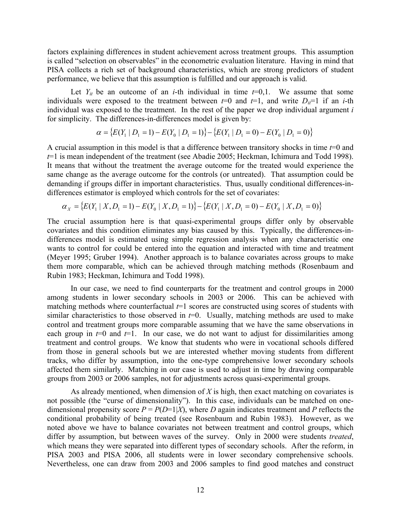factors explaining differences in student achievement across treatment groups. This assumption is called "selection on observables" in the econometric evaluation literature. Having in mind that PISA collects a rich set of background characteristics, which are strong predictors of student performance, we believe that this assumption is fulfilled and our approach is valid.

Let  $Y_{it}$  be an outcome of an *i*-th individual in time  $t=0,1$ . We assume that some individuals were exposed to the treatment between  $t=0$  and  $t=1$ , and write  $D_{it}=1$  if an *i*-th individual was exposed to the treatment. In the rest of the paper we drop individual argument *i* for simplicity. The differences-in-differences model is given by:

$$
\alpha = \{ E(Y_1 \mid D_1 = 1) - E(Y_0 \mid D_1 = 1) \} - \{ E(Y_1 \mid D_1 = 0) - E(Y_0 \mid D_1 = 0) \}
$$

A crucial assumption in this model is that a difference between transitory shocks in time *t*=0 and *t*=1 is mean independent of the treatment (see Abadie 2005; Heckman, Ichimura and Todd 1998). It means that without the treatment the average outcome for the treated would experience the same change as the average outcome for the controls (or untreated). That assumption could be demanding if groups differ in important characteristics. Thus, usually conditional differences-indifferences estimator is employed which controls for the set of covariates:

$$
\alpha_{X} = \{E(Y_1 \mid X, D_1 = 1) - E(Y_0 \mid X, D_1 = 1)\} - \{E(Y_1 \mid X, D_1 = 0) - E(Y_0 \mid X, D_1 = 0)\}
$$

The crucial assumption here is that quasi-experimental groups differ only by observable covariates and this condition eliminates any bias caused by this. Typically, the differences-indifferences model is estimated using simple regression analysis when any characteristic one wants to control for could be entered into the equation and interacted with time and treatment (Meyer 1995; Gruber 1994). Another approach is to balance covariates across groups to make them more comparable, which can be achieved through matching methods (Rosenbaum and Rubin 1983; Heckman, Ichimura and Todd 1998).

In our case, we need to find counterparts for the treatment and control groups in 2000 among students in lower secondary schools in 2003 or 2006. This can be achieved with matching methods where counterfactual  $t=1$  scores are constructed using scores of students with similar characteristics to those observed in  $t=0$ . Usually, matching methods are used to make control and treatment groups more comparable assuming that we have the same observations in each group in  $t=0$  and  $t=1$ . In our case, we do not want to adjust for dissimilarities among treatment and control groups. We know that students who were in vocational schools differed from those in general schools but we are interested whether moving students from different tracks, who differ by assumption, into the one-type comprehensive lower secondary schools affected them similarly. Matching in our case is used to adjust in time by drawing comparable groups from 2003 or 2006 samples, not for adjustments across quasi-experimental groups.

As already mentioned, when dimension of *X* is high, then exact matching on covariates is not possible (the "curse of dimensionality"). In this case, individuals can be matched on onedimensional propensity score  $P = P(D=1|X)$ , where *D* again indicates treatment and *P* reflects the conditional probability of being treated (see Rosenbaum and Rubin 1983). However, as we noted above we have to balance covariates not between treatment and control groups, which differ by assumption, but between waves of the survey. Only in 2000 were students *treated*, which means they were separated into different types of secondary schools. After the reform, in PISA 2003 and PISA 2006, all students were in lower secondary comprehensive schools. Nevertheless, one can draw from 2003 and 2006 samples to find good matches and construct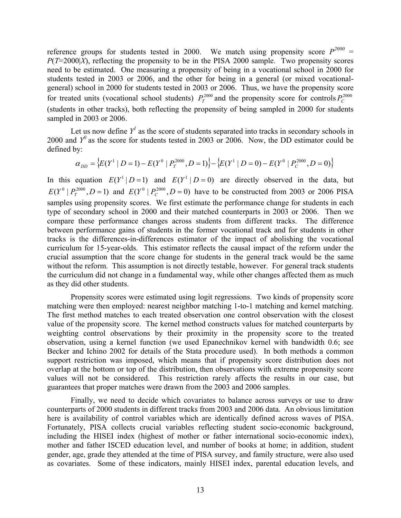reference groups for students tested in 2000. We match using propensity score  $P^{2000}$  = *P*(*T*=2000|*X*), reflecting the propensity to be in the PISA 2000 sample. Two propensity scores need to be estimated. One measuring a propensity of being in a vocational school in 2000 for students tested in 2003 or 2006, and the other for being in a general (or mixed vocationalgeneral) school in 2000 for students tested in 2003 or 2006. Thus, we have the propensity score for treated units (vocational school students)  $P_T^{2000}$  and the propensity score for controls  $P_C^{2000}$ (students in other tracks), both reflecting the propensity of being sampled in 2000 for students sampled in 2003 or 2006.

Let us now define  $Y<sup>1</sup>$  as the score of students separated into tracks in secondary schools in 2000 and  $Y^0$  as the score for students tested in 2003 or 2006. Now, the DD estimator could be defined by:

$$
\alpha_{DD} = \left\{ E(Y^1 \mid D=1) - E(Y^0 \mid P_T^{2000}, D=1) \right\} - \left\{ E(Y^1 \mid D=0) - E(Y^0 \mid P_C^{2000}, D=0) \right\}
$$

In this equation  $E(Y^1 | D = 1)$  and  $E(Y^1 | D = 0)$  are directly observed in the data, but  $E(Y^0 | P_T^{2000}, D = 1)$  and  $E(Y^0 | P_C^{2000}, D = 0)$  have to be constructed from 2003 or 2006 PISA samples using propensity scores. We first estimate the performance change for students in each type of secondary school in 2000 and their matched counterparts in 2003 or 2006. Then we compare these performance changes across students from different tracks. The difference between performance gains of students in the former vocational track and for students in other tracks is the differences-in-differences estimator of the impact of abolishing the vocational curriculum for 15-year-olds. This estimator reflects the causal impact of the reform under the crucial assumption that the score change for students in the general track would be the same without the reform. This assumption is not directly testable, however. For general track students the curriculum did not change in a fundamental way, while other changes affected them as much as they did other students.

Propensity scores were estimated using logit regressions. Two kinds of propensity score matching were then employed: nearest neighbor matching 1-to-1 matching and kernel matching. The first method matches to each treated observation one control observation with the closest value of the propensity score. The kernel method constructs values for matched counterparts by weighting control observations by their proximity in the propensity score to the treated observation, using a kernel function (we used Epanechnikov kernel with bandwidth 0.6; see Becker and Ichino 2002 for details of the Stata procedure used). In both methods a common support restriction was imposed, which means that if propensity score distribution does not overlap at the bottom or top of the distribution, then observations with extreme propensity score values will not be considered. This restriction rarely affects the results in our case, but guarantees that proper matches were drawn from the 2003 and 2006 samples.

Finally, we need to decide which covariates to balance across surveys or use to draw counterparts of 2000 students in different tracks from 2003 and 2006 data. An obvious limitation here is availability of control variables which are identically defined across waves of PISA. Fortunately, PISA collects crucial variables reflecting student socio-economic background, including the HISEI index (highest of mother or father international socio-economic index), mother and father ISCED education level, and number of books at home; in addition, student gender, age, grade they attended at the time of PISA survey, and family structure, were also used as covariates. Some of these indicators, mainly HISEI index, parental education levels, and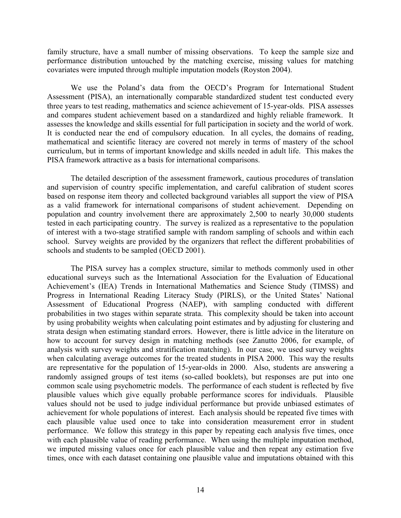family structure, have a small number of missing observations. To keep the sample size and performance distribution untouched by the matching exercise, missing values for matching covariates were imputed through multiple imputation models (Royston 2004).

We use the Poland's data from the OECD's Program for International Student Assessment (PISA), an internationally comparable standardized student test conducted every three years to test reading, mathematics and science achievement of 15-year-olds. PISA assesses and compares student achievement based on a standardized and highly reliable framework. It assesses the knowledge and skills essential for full participation in society and the world of work. It is conducted near the end of compulsory education. In all cycles, the domains of reading, mathematical and scientific literacy are covered not merely in terms of mastery of the school curriculum, but in terms of important knowledge and skills needed in adult life. This makes the PISA framework attractive as a basis for international comparisons.

The detailed description of the assessment framework, cautious procedures of translation and supervision of country specific implementation, and careful calibration of student scores based on response item theory and collected background variables all support the view of PISA as a valid framework for international comparisons of student achievement. Depending on population and country involvement there are approximately 2,500 to nearly 30,000 students tested in each participating country. The survey is realized as a representative to the population of interest with a two-stage stratified sample with random sampling of schools and within each school. Survey weights are provided by the organizers that reflect the different probabilities of schools and students to be sampled (OECD 2001).

The PISA survey has a complex structure, similar to methods commonly used in other educational surveys such as the International Association for the Evaluation of Educational Achievement's (IEA) Trends in International Mathematics and Science Study (TIMSS) and Progress in International Reading Literacy Study (PIRLS), or the United States' National Assessment of Educational Progress (NAEP), with sampling conducted with different probabilities in two stages within separate strata. This complexity should be taken into account by using probability weights when calculating point estimates and by adjusting for clustering and strata design when estimating standard errors. However, there is little advice in the literature on how to account for survey design in matching methods (see Zanutto 2006, for example, of analysis with survey weights and stratification matching). In our case, we used survey weights when calculating average outcomes for the treated students in PISA 2000. This way the results are representative for the population of 15-year-olds in 2000. Also, students are answering a randomly assigned groups of test items (so-called booklets), but responses are put into one common scale using psychometric models. The performance of each student is reflected by five plausible values which give equally probable performance scores for individuals. Plausible values should not be used to judge individual performance but provide unbiased estimates of achievement for whole populations of interest. Each analysis should be repeated five times with each plausible value used once to take into consideration measurement error in student performance. We follow this strategy in this paper by repeating each analysis five times, once with each plausible value of reading performance. When using the multiple imputation method, we imputed missing values once for each plausible value and then repeat any estimation five times, once with each dataset containing one plausible value and imputations obtained with this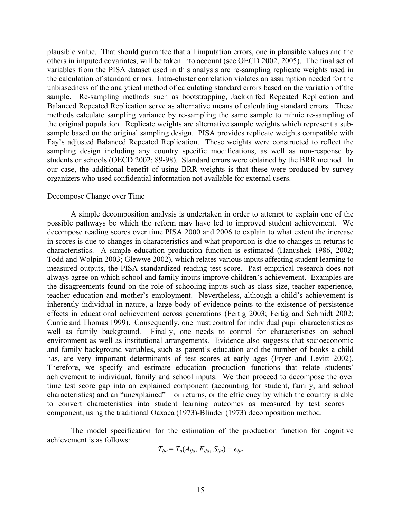plausible value. That should guarantee that all imputation errors, one in plausible values and the others in imputed covariates, will be taken into account (see OECD 2002, 2005). The final set of variables from the PISA dataset used in this analysis are re-sampling replicate weights used in the calculation of standard errors. Intra-cluster correlation violates an assumption needed for the unbiasedness of the analytical method of calculating standard errors based on the variation of the sample. Re-sampling methods such as bootstrapping, Jackknifed Repeated Replication and Balanced Repeated Replication serve as alternative means of calculating standard errors. These methods calculate sampling variance by re-sampling the same sample to mimic re-sampling of the original population. Replicate weights are alternative sample weights which represent a subsample based on the original sampling design. PISA provides replicate weights compatible with Fay's adjusted Balanced Repeated Replication. These weights were constructed to reflect the sampling design including any country specific modifications, as well as non-response by students or schools (OECD 2002: 89-98). Standard errors were obtained by the BRR method. In our case, the additional benefit of using BRR weights is that these were produced by survey organizers who used confidential information not available for external users.

#### Decompose Change over Time

A simple decomposition analysis is undertaken in order to attempt to explain one of the possible pathways be which the reform may have led to improved student achievement. We decompose reading scores over time PISA 2000 and 2006 to explain to what extent the increase in scores is due to changes in characteristics and what proportion is due to changes in returns to characteristics. A simple education production function is estimated (Hanushek 1986, 2002; Todd and Wolpin 2003; Glewwe 2002), which relates various inputs affecting student learning to measured outputs, the PISA standardized reading test score. Past empirical research does not always agree on which school and family inputs improve children's achievement. Examples are the disagreements found on the role of schooling inputs such as class-size, teacher experience, teacher education and mother's employment. Nevertheless, although a child's achievement is inherently individual in nature, a large body of evidence points to the existence of persistence effects in educational achievement across generations (Fertig 2003; Fertig and Schmidt 2002; Currie and Thomas 1999). Consequently, one must control for individual pupil characteristics as well as family background. Finally, one needs to control for characteristics on school environment as well as institutional arrangements. Evidence also suggests that socioeconomic and family background variables, such as parent's education and the number of books a child has, are very important determinants of test scores at early ages (Fryer and Levitt 2002). Therefore, we specify and estimate education production functions that relate students' achievement to individual, family and school inputs. We then proceed to decompose the over time test score gap into an explained component (accounting for student, family, and school characteristics) and an "unexplained" – or returns, or the efficiency by which the country is able to convert characteristics into student learning outcomes as measured by test scores – component, using the traditional Oaxaca (1973)-Blinder (1973) decomposition method.

 The model specification for the estimation of the production function for cognitive achievement is as follows:

$$
T_{ija} = T_a(A_{ija}, F_{ija}, S_{ija}) + \epsilon_{ija}
$$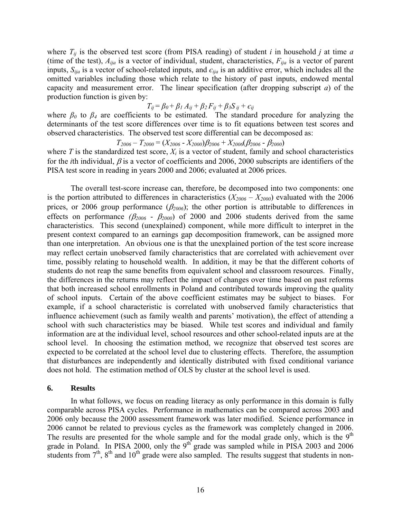where  $T_{ij}$  is the observed test score (from PISA reading) of student *i* in household *j* at time *a* (time of the test), *Aija* is a vector of individual, student, characteristics, *Fija* is a vector of parent inputs, *Sija* is a vector of school-related inputs, and *єija* is an additive error, which includes all the omitted variables including those which relate to the history of past inputs, endowed mental capacity and measurement error. The linear specification (after dropping subscript *a*) of the production function is given by:

$$
T_{ij} = \beta_0 + \beta_1 A_{ij} + \beta_2 F_{ij} + \beta_3 S_{ij} + \epsilon_{ij}
$$

where  $\beta_0$  to  $\beta_4$  are coefficients to be estimated. The standard procedure for analyzing the determinants of the test score differences over time is to fit equations between test scores and observed characteristics. The observed test score differential can be decomposed as:

 $T_{2006} - T_{2000} = (X_{2006} - X_{2000})\beta_{2006} + X_{2006}\beta_{2006} - \beta_{2000})$ 

where  $T$  is the standardized test score,  $X_i$  is a vector of student, family and school characteristics for the *i*th individual,  $\beta$  is a vector of coefficients and 2006, 2000 subscripts are identifiers of the PISA test score in reading in years 2000 and 2006; evaluated at 2006 prices.

The overall test-score increase can, therefore, be decomposed into two components: one is the portion attributed to differences in characteristics  $(X_{2006} - X_{2000})$  evaluated with the 2006 prices, or 2006 group performance  $(\beta_{2006})$ ; the other portion is attributable to differences in effects on performance  $(\beta_{2006} - \beta_{2000})$  of 2000 and 2006 students derived from the same characteristics. This second (unexplained) component, while more difficult to interpret in the present context compared to an earnings gap decomposition framework, can be assigned more than one interpretation. An obvious one is that the unexplained portion of the test score increase may reflect certain unobserved family characteristics that are correlated with achievement over time, possibly relating to household wealth. In addition, it may be that the different cohorts of students do not reap the same benefits from equivalent school and classroom resources. Finally, the differences in the returns may reflect the impact of changes over time based on past reforms that both increased school enrollments in Poland and contributed towards improving the quality of school inputs. Certain of the above coefficient estimates may be subject to biases. For example, if a school characteristic is correlated with unobserved family characteristics that influence achievement (such as family wealth and parents' motivation), the effect of attending a school with such characteristics may be biased. While test scores and individual and family information are at the individual level, school resources and other school-related inputs are at the school level. In choosing the estimation method, we recognize that observed test scores are expected to be correlated at the school level due to clustering effects. Therefore, the assumption that disturbances are independently and identically distributed with fixed conditional variance does not hold. The estimation method of OLS by cluster at the school level is used.

#### **6. Results**

In what follows, we focus on reading literacy as only performance in this domain is fully comparable across PISA cycles. Performance in mathematics can be compared across 2003 and 2006 only because the 2000 assessment framework was later modified. Science performance in 2006 cannot be related to previous cycles as the framework was completely changed in 2006. The results are presented for the whole sample and for the modal grade only, which is the  $9<sup>th</sup>$ grade in Poland. In PISA 2000, only the  $9<sup>th</sup>$  grade was sampled while in PISA 2003 and 2006 students from  $7<sup>th</sup>$ ,  $8<sup>th</sup>$  and  $10<sup>th</sup>$  grade were also sampled. The results suggest that students in non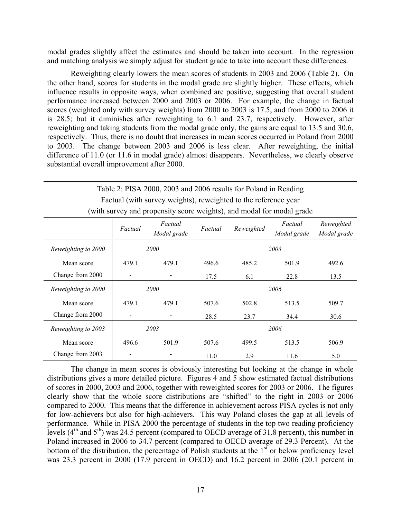modal grades slightly affect the estimates and should be taken into account. In the regression and matching analysis we simply adjust for student grade to take into account these differences.

Reweighting clearly lowers the mean scores of students in 2003 and 2006 (Table 2). On the other hand, scores for students in the modal grade are slightly higher. These effects, which influence results in opposite ways, when combined are positive, suggesting that overall student performance increased between 2000 and 2003 or 2006. For example, the change in factual scores (weighted only with survey weights) from 2000 to 2003 is 17.5, and from 2000 to 2006 it is 28.5; but it diminishes after reweighting to 6.1 and 23.7, respectively. However, after reweighting and taking students from the modal grade only, the gains are equal to 13.5 and 30.6, respectively. Thus, there is no doubt that increases in mean scores occurred in Poland from 2000 to 2003. The change between 2003 and 2006 is less clear. After reweighting, the initial difference of 11.0 (or 11.6 in modal grade) almost disappears. Nevertheless, we clearly observe substantial overall improvement after 2000.

| Table 2: PISA 2000, 2003 and 2006 results for Poland in Reading<br>Factual (with survey weights), reweighted to the reference year |             |                        |         |            |                        |                           |  |  |
|------------------------------------------------------------------------------------------------------------------------------------|-------------|------------------------|---------|------------|------------------------|---------------------------|--|--|
| (with survey and propensity score weights), and modal for modal grade                                                              |             |                        |         |            |                        |                           |  |  |
|                                                                                                                                    | Factual     | Factual<br>Modal grade | Factual | Reweighted | Factual<br>Modal grade | Reweighted<br>Modal grade |  |  |
| Reweighting to 2000                                                                                                                | <i>2000</i> |                        | 2003    |            |                        |                           |  |  |
| Mean score                                                                                                                         | 479.1       | 479.1                  | 496.6   | 485.2      | 501.9                  | 492.6                     |  |  |
| Change from 2000                                                                                                                   |             |                        | 17.5    | 6.1        | 22.8                   | 13.5                      |  |  |
| Reweighting to 2000                                                                                                                |             | <i>2000</i>            | 2006    |            |                        |                           |  |  |
| Mean score                                                                                                                         | 479.1       | 479.1                  | 507.6   | 502.8      | 513.5                  | 509.7                     |  |  |
| Change from 2000                                                                                                                   |             | $\blacksquare$         | 28.5    | 23.7       | 34.4                   | 30.6                      |  |  |
| 2003<br>Reweighting to 2003                                                                                                        |             |                        |         | 2006       |                        |                           |  |  |
| Mean score                                                                                                                         | 496.6       | 501.9                  | 507.6   | 499.5      | 513.5                  | 506.9                     |  |  |
| Change from 2003                                                                                                                   |             |                        | 11.0    | 2.9        | 11.6                   | 5.0                       |  |  |

The change in mean scores is obviously interesting but looking at the change in whole distributions gives a more detailed picture. Figures 4 and 5 show estimated factual distributions of scores in 2000, 2003 and 2006, together with reweighted scores for 2003 or 2006. The figures clearly show that the whole score distributions are "shifted" to the right in 2003 or 2006 compared to 2000. This means that the difference in achievement across PISA cycles is not only for low-achievers but also for high-achievers. This way Poland closes the gap at all levels of performance. While in PISA 2000 the percentage of students in the top two reading proficiency levels  $(4<sup>th</sup>$  and  $5<sup>th</sup>$ ) was 24.5 percent (compared to OECD average of 31.8 percent), this number in Poland increased in 2006 to 34.7 percent (compared to OECD average of 29.3 Percent). At the bottom of the distribution, the percentage of Polish students at the  $1<sup>st</sup>$  or below proficiency level was 23.3 percent in 2000 (17.9 percent in OECD) and 16.2 percent in 2006 (20.1 percent in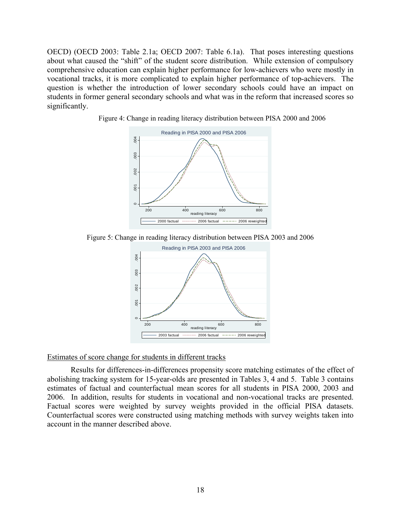OECD) (OECD 2003: Table 2.1a; OECD 2007: Table 6.1a). That poses interesting questions about what caused the "shift" of the student score distribution. While extension of compulsory comprehensive education can explain higher performance for low-achievers who were mostly in vocational tracks, it is more complicated to explain higher performance of top-achievers. The question is whether the introduction of lower secondary schools could have an impact on students in former general secondary schools and what was in the reform that increased scores so significantly.



Figure 4: Change in reading literacy distribution between PISA 2000 and 2006





# Estimates of score change for students in different tracks

Results for differences-in-differences propensity score matching estimates of the effect of abolishing tracking system for 15-year-olds are presented in Tables 3, 4 and 5. Table 3 contains estimates of factual and counterfactual mean scores for all students in PISA 2000, 2003 and 2006. In addition, results for students in vocational and non-vocational tracks are presented. Factual scores were weighted by survey weights provided in the official PISA datasets. Counterfactual scores were constructed using matching methods with survey weights taken into account in the manner described above.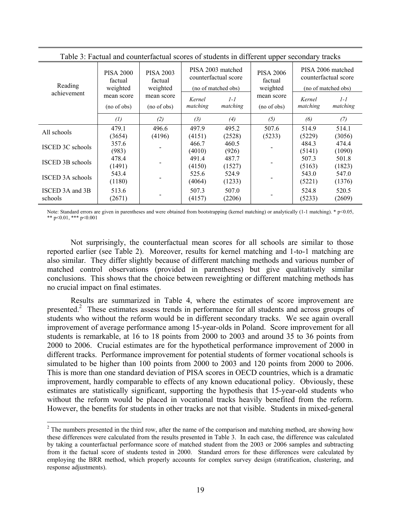| Table 3: Factual and counterfactual scores of students in different upper secondary tracks |                                                                                    |                           |                    |                                                                  |                                         |                                                                  |                     |  |  |
|--------------------------------------------------------------------------------------------|------------------------------------------------------------------------------------|---------------------------|--------------------|------------------------------------------------------------------|-----------------------------------------|------------------------------------------------------------------|---------------------|--|--|
| Reading                                                                                    | <b>PISA 2000</b><br><b>PISA 2003</b><br>factual<br>factual<br>weighted<br>weighted |                           |                    | PISA 2003 matched<br>counterfactual score<br>(no of matched obs) | <b>PISA 2006</b><br>factual<br>weighted | PISA 2006 matched<br>counterfactual score<br>(no of matched obs) |                     |  |  |
| achievement                                                                                | mean score<br>(no of obs)                                                          | mean score<br>(no of obs) | Kernel<br>matching | $1 - 1$<br>matching                                              | mean score<br>(no of obs)               | Kernel<br>matching                                               | $1 - 1$<br>matching |  |  |
|                                                                                            | $\left( l\right)$                                                                  | (2)                       | $(3)$              | (4)                                                              | (5)                                     | (6)                                                              | (7)                 |  |  |
| All schools                                                                                | 479.1                                                                              | 496.6                     | 497.9              | 495.2                                                            | 507.6                                   | 514.9                                                            | 514.1               |  |  |
|                                                                                            | (3654)                                                                             | (4196)                    | (4151)             | (2528)                                                           | (5233)                                  | (5229)                                                           | (3056)              |  |  |
| <b>ISCED 3C schools</b>                                                                    | 357.6<br>(983)                                                                     |                           | 466.7<br>(4010)    | 460.5<br>(926)                                                   |                                         | 484.3<br>(5141)                                                  | 474.4<br>(1090)     |  |  |
| <b>ISCED 3B schools</b>                                                                    | 478.4<br>(1491)                                                                    |                           | 491.4<br>(4150)    | 487.7<br>(1527)                                                  |                                         | 507.3<br>(5163)                                                  | 501.8<br>(1823)     |  |  |
| <b>ISCED 3A schools</b>                                                                    | 543.4<br>(1180)                                                                    |                           | 525.6<br>(4064)    | 524.9<br>(1233)                                                  |                                         | 543.0<br>(5221)                                                  | 547.0<br>(1376)     |  |  |
| ISCED 3A and 3B<br>schools                                                                 | 513.6<br>(2671)                                                                    |                           | 507.3<br>(4157)    | 507.0<br>(2206)                                                  |                                         | 524.8<br>(5233)                                                  | 520.5<br>(2609)     |  |  |

Table 3: Factual and counterfactual scores of students in different upper secondary tracks

Note: Standard errors are given in parentheses and were obtained from bootstrapping (kernel matching) or analytically (1-1 matching). \*  $p<0.05$ , \*\* p<0.01, \*\*\* p<0.001

Not surprisingly, the counterfactual mean scores for all schools are similar to those reported earlier (see Table 2). Moreover, results for kernel matching and 1-to-1 matching are also similar. They differ slightly because of different matching methods and various number of matched control observations (provided in parentheses) but give qualitatively similar conclusions. This shows that the choice between reweighting or different matching methods has no crucial impact on final estimates.

Results are summarized in Table 4, where the estimates of score improvement are presented.<sup>2</sup> These estimates assess trends in performance for all students and across groups of students who without the reform would be in different secondary tracks. We see again overall improvement of average performance among 15-year-olds in Poland. Score improvement for all students is remarkable, at 16 to 18 points from 2000 to 2003 and around 35 to 36 points from 2000 to 2006. Crucial estimates are for the hypothetical performance improvement of 2000 in different tracks. Performance improvement for potential students of former vocational schools is simulated to be higher than 100 points from 2000 to 2003 and 120 points from 2000 to 2006. This is more than one standard deviation of PISA scores in OECD countries, which is a dramatic improvement, hardly comparable to effects of any known educational policy. Obviously, these estimates are statistically significant, supporting the hypothesis that 15-year-old students who without the reform would be placed in vocational tracks heavily benefited from the reform. However, the benefits for students in other tracks are not that visible. Students in mixed-general

 $\overline{a}$ 

 $2<sup>2</sup>$  The numbers presented in the third row, after the name of the comparison and matching method, are showing how these differences were calculated from the results presented in Table 3. In each case, the difference was calculated by taking a counterfactual performance score of matched student from the 2003 or 2006 samples and subtracting from it the factual score of students tested in 2000. Standard errors for these differences were calculated by employing the BRR method, which properly accounts for complex survey design (stratification, clustering, and response adjustments).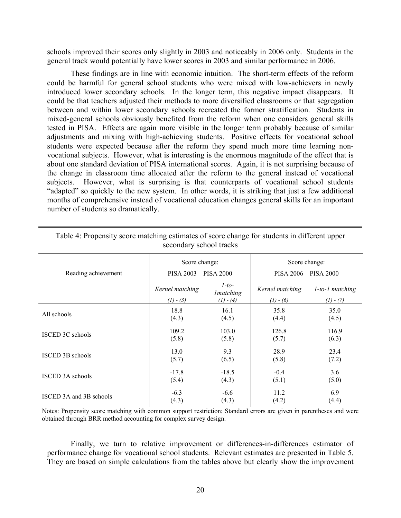schools improved their scores only slightly in 2003 and noticeably in 2006 only. Students in the general track would potentially have lower scores in 2003 and similar performance in 2006.

These findings are in line with economic intuition. The short-term effects of the reform could be harmful for general school students who were mixed with low-achievers in newly introduced lower secondary schools. In the longer term, this negative impact disappears. It could be that teachers adjusted their methods to more diversified classrooms or that segregation between and within lower secondary schools recreated the former stratification. Students in mixed-general schools obviously benefited from the reform when one considers general skills tested in PISA. Effects are again more visible in the longer term probably because of similar adjustments and mixing with high-achieving students. Positive effects for vocational school students were expected because after the reform they spend much more time learning nonvocational subjects. However, what is interesting is the enormous magnitude of the effect that is about one standard deviation of PISA international scores. Again, it is not surprising because of the change in classroom time allocated after the reform to the general instead of vocational subjects. However, what is surprising is that counterparts of vocational school students "adapted" so quickly to the new system. In other words, it is striking that just a few additional months of comprehensive instead of vocational education changes general skills for an important number of students so dramatically.

| Reading achievement     | Score change:<br>PISA 2003 - PISA 2000 |                                            | Score change:<br>PISA 2006 - PISA 2000 |                                      |  |  |  |
|-------------------------|----------------------------------------|--------------------------------------------|----------------------------------------|--------------------------------------|--|--|--|
|                         | Kernel matching<br>$(1) - (3)$         | $1-to-$<br><i>Imatching</i><br>$(1) - (4)$ | Kernel matching<br>$(1) - (6)$         | $1$ -to- $1$ matching<br>$(1) - (7)$ |  |  |  |
| All schools             | 18.8                                   | 16.1                                       | 35.8                                   | 35.0                                 |  |  |  |
|                         | (4.3)                                  | (4.5)                                      | (4.4)                                  | (4.5)                                |  |  |  |
| <b>ISCED 3C schools</b> | 109.2                                  | 103.0                                      | 126.8                                  | 116.9                                |  |  |  |
|                         | (5.8)                                  | (5.8)                                      | (5.7)                                  | (6.3)                                |  |  |  |
| <b>ISCED 3B schools</b> | 13.0                                   | 9.3                                        | 28.9                                   | 23.4                                 |  |  |  |
|                         | (5.7)                                  | (6.5)                                      | (5.8)                                  | (7.2)                                |  |  |  |
| <b>ISCED 3A schools</b> | $-17.8$                                | $-18.5$                                    | $-0.4$                                 | 3.6                                  |  |  |  |
|                         | (5.4)                                  | (4.3)                                      | (5.1)                                  | (5.0)                                |  |  |  |
| ISCED 3A and 3B schools | $-6.3$                                 | $-6.6$                                     | 11.2                                   | 6.9                                  |  |  |  |
|                         | (4.3)                                  | (4.3)                                      | (4.2)                                  | (4.4)                                |  |  |  |

| Table 4: Propensity score matching estimates of score change for students in different upper |
|----------------------------------------------------------------------------------------------|
| secondary school tracks                                                                      |

Notes: Propensity score matching with common support restriction; Standard errors are given in parentheses and were obtained through BRR method accounting for complex survey design.

Finally, we turn to relative improvement or differences-in-differences estimator of performance change for vocational school students. Relevant estimates are presented in Table 5. They are based on simple calculations from the tables above but clearly show the improvement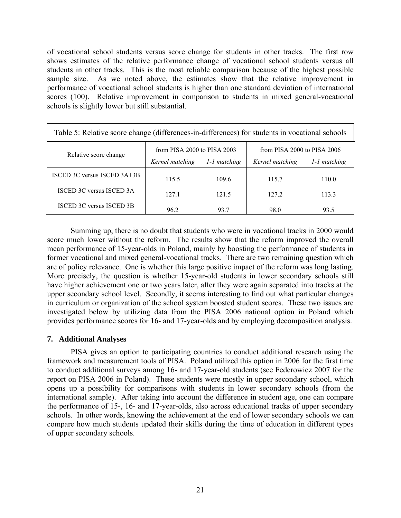of vocational school students versus score change for students in other tracks. The first row shows estimates of the relative performance change of vocational school students versus all students in other tracks. This is the most reliable comparison because of the highest possible sample size. As we noted above, the estimates show that the relative improvement in performance of vocational school students is higher than one standard deviation of international scores (100). Relative improvement in comparison to students in mixed general-vocational schools is slightly lower but still substantial.

| Table 5: Relative score change (differences-in-differences) for students in vocational schools |                             |              |                             |              |  |  |  |  |
|------------------------------------------------------------------------------------------------|-----------------------------|--------------|-----------------------------|--------------|--|--|--|--|
| Relative score change                                                                          | from PISA 2000 to PISA 2003 |              | from PISA 2000 to PISA 2006 |              |  |  |  |  |
|                                                                                                | Kernel matching             | 1-1 matching | Kernel matching             | 1-1 matching |  |  |  |  |
| ISCED 3C versus ISCED $3A+3B$                                                                  | 115.5                       | 109.6        | 115.7                       | 110.0        |  |  |  |  |
| <b>ISCED 3C versus ISCED 3A</b>                                                                | 1271                        | 121.5        | 127.2                       | 113.3        |  |  |  |  |
| <b>ISCED 3C versus ISCED 3B</b>                                                                | 96.2                        | 93.7         | 98.0                        | 93.5         |  |  |  |  |

Summing up, there is no doubt that students who were in vocational tracks in 2000 would score much lower without the reform. The results show that the reform improved the overall mean performance of 15-year-olds in Poland, mainly by boosting the performance of students in former vocational and mixed general-vocational tracks. There are two remaining question which are of policy relevance. One is whether this large positive impact of the reform was long lasting. More precisely, the question is whether 15-year-old students in lower secondary schools still have higher achievement one or two years later, after they were again separated into tracks at the upper secondary school level. Secondly, it seems interesting to find out what particular changes in curriculum or organization of the school system boosted student scores. These two issues are investigated below by utilizing data from the PISA 2006 national option in Poland which provides performance scores for 16- and 17-year-olds and by employing decomposition analysis.

# **7. Additional Analyses**

PISA gives an option to participating countries to conduct additional research using the framework and measurement tools of PISA. Poland utilized this option in 2006 for the first time to conduct additional surveys among 16- and 17-year-old students (see Federowicz 2007 for the report on PISA 2006 in Poland). These students were mostly in upper secondary school, which opens up a possibility for comparisons with students in lower secondary schools (from the international sample). After taking into account the difference in student age, one can compare the performance of 15-, 16- and 17-year-olds, also across educational tracks of upper secondary schools. In other words, knowing the achievement at the end of lower secondary schools we can compare how much students updated their skills during the time of education in different types of upper secondary schools.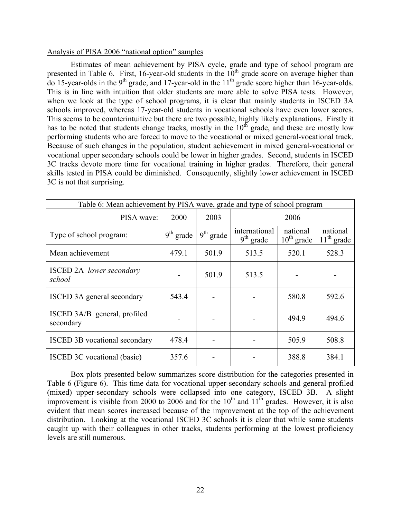#### Analysis of PISA 2006 "national option" samples

Estimates of mean achievement by PISA cycle, grade and type of school program are presented in Table 6. First, 16-year-old students in the  $10<sup>th</sup>$  grade score on average higher than do 15-year-olds in the 9<sup>th</sup> grade, and 17-year-old in the  $11<sup>th</sup>$  grade score higher than 16-year-olds. This is in line with intuition that older students are more able to solve PISA tests. However, when we look at the type of school programs, it is clear that mainly students in ISCED 3A schools improved, whereas 17-year-old students in vocational schools have even lower scores. This seems to be counterintuitive but there are two possible, highly likely explanations. Firstly it has to be noted that students change tracks, mostly in the  $10<sup>th</sup>$  grade, and these are mostly low performing students who are forced to move to the vocational or mixed general-vocational track. Because of such changes in the population, student achievement in mixed general-vocational or vocational upper secondary schools could be lower in higher grades. Second, students in ISCED 3C tracks devote more time for vocational training in higher grades. Therefore, their general skills tested in PISA could be diminished. Consequently, slightly lower achievement in ISCED 3C is not that surprising.

| Table 6: Mean achievement by PISA wave, grade and type of school program |             |             |                              |                             |                          |  |  |  |
|--------------------------------------------------------------------------|-------------|-------------|------------------------------|-----------------------------|--------------------------|--|--|--|
| PISA wave:                                                               | 2000        | 2003        |                              | 2006                        |                          |  |  |  |
| Type of school program:                                                  | $9th$ grade | $9th$ grade | international<br>$9th$ grade | national<br>$10^{th}$ grade | national<br>$11th$ grade |  |  |  |
| Mean achievement                                                         | 479.1       | 501.9       | 513.5                        | 520.1                       | 528.3                    |  |  |  |
| <b>ISCED 2A</b> lower secondary<br>school                                |             | 501.9       | 513.5                        |                             |                          |  |  |  |
| ISCED 3A general secondary                                               | 543.4       |             |                              | 580.8                       | 592.6                    |  |  |  |
| ISCED 3A/B general, profiled<br>secondary                                |             |             |                              | 494.9                       | 494.6                    |  |  |  |
| ISCED 3B vocational secondary                                            | 478.4       |             |                              | 505.9                       | 508.8                    |  |  |  |
| ISCED 3C vocational (basic)                                              | 357.6       |             |                              | 388.8                       | 384.1                    |  |  |  |

Box plots presented below summarizes score distribution for the categories presented in Table 6 (Figure 6). This time data for vocational upper-secondary schools and general profiled (mixed) upper-secondary schools were collapsed into one category, ISCED 3B. A slight improvement is visible from 2000 to 2006 and for the  $10^{th}$  and  $11^{th}$  grades. However, it is also evident that mean scores increased because of the improvement at the top of the achievement distribution. Looking at the vocational ISCED 3C schools it is clear that while some students caught up with their colleagues in other tracks, students performing at the lowest proficiency levels are still numerous.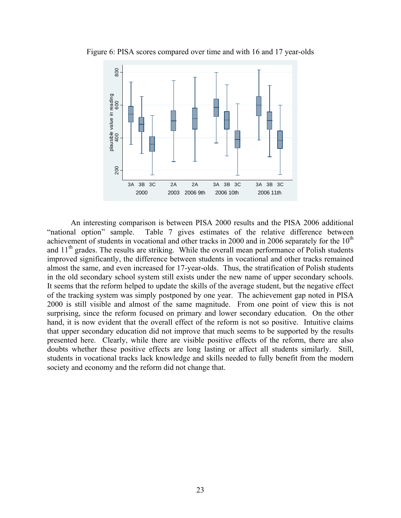

Figure 6: PISA scores compared over time and with 16 and 17 year-olds

An interesting comparison is between PISA 2000 results and the PISA 2006 additional "national option" sample. Table 7 gives estimates of the relative difference between achievement of students in vocational and other tracks in 2000 and in 2006 separately for the  $10<sup>th</sup>$ and 11<sup>th</sup> grades. The results are striking. While the overall mean performance of Polish students improved significantly, the difference between students in vocational and other tracks remained almost the same, and even increased for 17-year-olds. Thus, the stratification of Polish students in the old secondary school system still exists under the new name of upper secondary schools. It seems that the reform helped to update the skills of the average student, but the negative effect of the tracking system was simply postponed by one year. The achievement gap noted in PISA 2000 is still visible and almost of the same magnitude. From one point of view this is not surprising, since the reform focused on primary and lower secondary education. On the other hand, it is now evident that the overall effect of the reform is not so positive. Intuitive claims that upper secondary education did not improve that much seems to be supported by the results presented here. Clearly, while there are visible positive effects of the reform, there are also doubts whether these positive effects are long lasting or affect all students similarly. Still, students in vocational tracks lack knowledge and skills needed to fully benefit from the modern society and economy and the reform did not change that.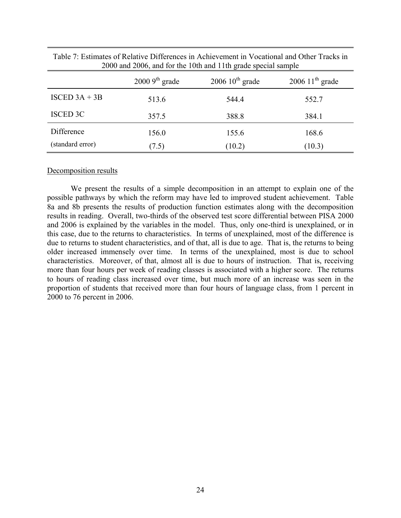|                  | $20009^{\text{th}}$ grade | $200610^{\text{th}}$ grade | $200611^{th}$ grade |
|------------------|---------------------------|----------------------------|---------------------|
| ISCED $3A + 3B$  | 513.6                     | 544.4                      | 552.7               |
| <b>ISCED 3C</b>  | 357.5                     | 388.8                      | 384.1               |
| Difference       | 156.0                     | 155.6                      | 168.6               |
| (standard error) | (7.5)                     | (10.2)                     | (10.3)              |

Table 7: Estimates of Relative Differences in Achievement in Vocational and Other Tracks in 2000 and 2006, and for the 10th and 11th grade special sample

#### Decomposition results

We present the results of a simple decomposition in an attempt to explain one of the possible pathways by which the reform may have led to improved student achievement. Table 8a and 8b presents the results of production function estimates along with the decomposition results in reading. Overall, two-thirds of the observed test score differential between PISA 2000 and 2006 is explained by the variables in the model. Thus, only one-third is unexplained, or in this case, due to the returns to characteristics. In terms of unexplained, most of the difference is due to returns to student characteristics, and of that, all is due to age. That is, the returns to being older increased immensely over time. In terms of the unexplained, most is due to school characteristics. Moreover, of that, almost all is due to hours of instruction. That is, receiving more than four hours per week of reading classes is associated with a higher score. The returns to hours of reading class increased over time, but much more of an increase was seen in the proportion of students that received more than four hours of language class, from 1 percent in 2000 to 76 percent in 2006.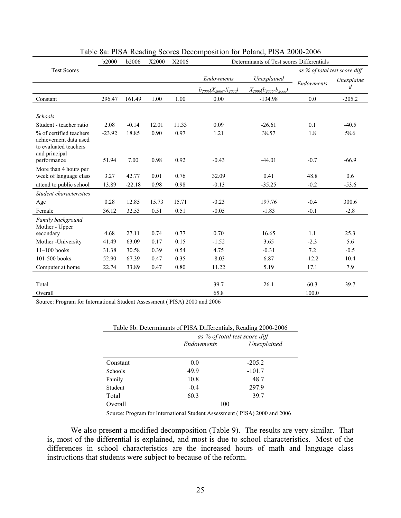|                                                                                            | <b>b2000</b> | <b>b2006</b> | X2000 | X2006 | Determinants of Test scores Differentials |                                 |                               |            |
|--------------------------------------------------------------------------------------------|--------------|--------------|-------|-------|-------------------------------------------|---------------------------------|-------------------------------|------------|
| <b>Test Scores</b>                                                                         |              |              |       |       |                                           |                                 | as % of total test score diff |            |
|                                                                                            |              |              |       |       | Endowments                                | Unexplained                     |                               | Unexplaine |
|                                                                                            |              |              |       |       | $b_{2006}(X_{2006} - X_{2000})$           | $X_{2006}(b_{2006} - b_{2000})$ | <b>Endowments</b>             | d          |
| Constant                                                                                   | 296.47       | 161.49       | 1.00  | 1.00  | 0.00                                      | $-134.98$                       | 0.0                           | $-205.2$   |
| <b>Schools</b>                                                                             |              |              |       |       |                                           |                                 |                               |            |
| Student - teacher ratio                                                                    | 2.08         | $-0.14$      | 12.01 | 11.33 | 0.09                                      | $-26.61$                        | 0.1                           | $-40.5$    |
| % of certified teachers<br>achievement data used<br>to evaluated teachers<br>and principal | $-23.92$     | 18.85        | 0.90  | 0.97  | 1.21                                      | 38.57                           | 1.8                           | 58.6       |
| performance                                                                                | 51.94        | 7.00         | 0.98  | 0.92  | $-0.43$                                   | $-44.01$                        | $-0.7$                        | $-66.9$    |
| More than 4 hours per<br>week of language class                                            | 3.27         | 42.77        | 0.01  | 0.76  | 32.09                                     | 0.41                            | 48.8                          | 0.6        |
| attend to public school                                                                    | 13.89        | $-22.18$     | 0.98  | 0.98  | $-0.13$                                   | $-35.25$                        | $-0.2$                        | $-53.6$    |
| Student characteristics                                                                    |              |              |       |       |                                           |                                 |                               |            |
| Age                                                                                        | 0.28         | 12.85        | 15.73 | 15.71 | $-0.23$                                   | 197.76                          | $-0.4$                        | 300.6      |
| Female                                                                                     | 36.12        | 32.53        | 0.51  | 0.51  | $-0.05$                                   | $-1.83$                         | $-0.1$                        | $-2.8$     |
| Family background<br>Mother - Upper                                                        |              |              |       |       |                                           |                                 |                               |            |
| secondary                                                                                  | 4.68         | 27.11        | 0.74  | 0.77  | 0.70                                      | 16.65                           | 1.1                           | 25.3       |
| Mother - University                                                                        | 41.49        | 63.09        | 0.17  | 0.15  | $-1.52$                                   | 3.65                            | $-2.3$                        | 5.6        |
| $11 - 100$ books                                                                           | 31.38        | 30.58        | 0.39  | 0.54  | 4.75                                      | $-0.31$                         | 7.2                           | $-0.5$     |
| 101-500 books                                                                              | 52.90        | 67.39        | 0.47  | 0.35  | $-8.03$                                   | 6.87                            | $-12.2$                       | 10.4       |
| Computer at home                                                                           | 22.74        | 33.89        | 0.47  | 0.80  | 11.22                                     | 5.19                            | 17.1                          | 7.9        |
|                                                                                            |              |              |       |       |                                           |                                 |                               |            |
| Total                                                                                      |              |              |       |       | 39.7                                      | 26.1                            | 60.3                          | 39.7       |
| Overall                                                                                    |              |              |       |       | 65.8                                      |                                 | 100.0                         |            |

# Table 8a: PISA Reading Scores Decomposition for Poland, PISA 2000-2006

Source: Program for International Student Assessment ( PISA) 2000 and 2006

| Table 8b: Determinants of PISA Differentials, Reading 2000-2006 |                               |             |  |  |  |  |
|-----------------------------------------------------------------|-------------------------------|-------------|--|--|--|--|
|                                                                 | as % of total test score diff |             |  |  |  |  |
|                                                                 | Endowments                    | Unexplained |  |  |  |  |
|                                                                 |                               |             |  |  |  |  |
| Constant                                                        | 0.0                           | $-205.2$    |  |  |  |  |
| Schools                                                         | 49.9                          | $-101.7$    |  |  |  |  |
| Family                                                          | 10.8                          | 48.7        |  |  |  |  |
| Student                                                         | $-0.4$                        | 297.9       |  |  |  |  |
| Total                                                           | 60.3                          | 39.7        |  |  |  |  |
| Overall                                                         | 100                           |             |  |  |  |  |

Source: Program for International Student Assessment ( PISA) 2000 and 2006

 We also present a modified decomposition (Table 9). The results are very similar. That is, most of the differential is explained, and most is due to school characteristics. Most of the differences in school characteristics are the increased hours of math and language class instructions that students were subject to because of the reform.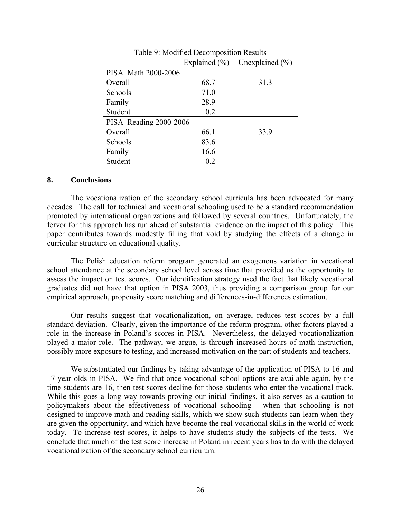| Table 9: Modified Decomposition Results |      |                                     |  |  |  |  |  |
|-----------------------------------------|------|-------------------------------------|--|--|--|--|--|
|                                         |      | Explained $(\%)$ Unexplained $(\%)$ |  |  |  |  |  |
| PISA Math 2000-2006                     |      |                                     |  |  |  |  |  |
| Overall                                 | 68.7 | 31.3                                |  |  |  |  |  |
| Schools                                 | 71.0 |                                     |  |  |  |  |  |
| Family                                  | 28.9 |                                     |  |  |  |  |  |
| Student                                 | 0.2  |                                     |  |  |  |  |  |
| PISA Reading 2000-2006                  |      |                                     |  |  |  |  |  |
| Overall                                 | 66.1 | 33.9                                |  |  |  |  |  |
| Schools                                 | 83.6 |                                     |  |  |  |  |  |
| Family                                  | 16.6 |                                     |  |  |  |  |  |
| Student                                 | 0.2  |                                     |  |  |  |  |  |

#### **8. Conclusions**

The vocationalization of the secondary school curricula has been advocated for many decades. The call for technical and vocational schooling used to be a standard recommendation promoted by international organizations and followed by several countries. Unfortunately, the fervor for this approach has run ahead of substantial evidence on the impact of this policy. This paper contributes towards modestly filling that void by studying the effects of a change in curricular structure on educational quality.

The Polish education reform program generated an exogenous variation in vocational school attendance at the secondary school level across time that provided us the opportunity to assess the impact on test scores. Our identification strategy used the fact that likely vocational graduates did not have that option in PISA 2003, thus providing a comparison group for our empirical approach, propensity score matching and differences-in-differences estimation.

Our results suggest that vocationalization, on average, reduces test scores by a full standard deviation. Clearly, given the importance of the reform program, other factors played a role in the increase in Poland's scores in PISA. Nevertheless, the delayed vocationalization played a major role. The pathway, we argue, is through increased hours of math instruction, possibly more exposure to testing, and increased motivation on the part of students and teachers.

We substantiated our findings by taking advantage of the application of PISA to 16 and 17 year olds in PISA. We find that once vocational school options are available again, by the time students are 16, then test scores decline for those students who enter the vocational track. While this goes a long way towards proving our initial findings, it also serves as a caution to policymakers about the effectiveness of vocational schooling – when that schooling is not designed to improve math and reading skills, which we show such students can learn when they are given the opportunity, and which have become the real vocational skills in the world of work today. To increase test scores, it helps to have students study the subjects of the tests. We conclude that much of the test score increase in Poland in recent years has to do with the delayed vocationalization of the secondary school curriculum.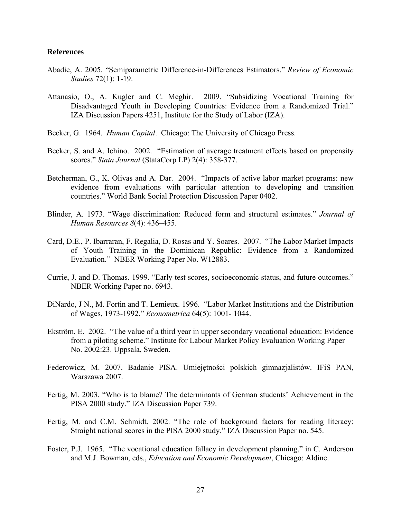#### **References**

- Abadie, A. 2005. "Semiparametric Difference-in-Differences Estimators." *Review of Economic Studies* 72(1): 1-19.
- Attanasio, O., A. Kugler and C. Meghir. 2009. "Subsidizing Vocational Training for Disadvantaged Youth in Developing Countries: Evidence from a Randomized Trial." IZA Discussion Papers 4251, Institute for the Study of Labor (IZA).
- Becker, G. 1964. *Human Capital*. Chicago: The University of Chicago Press.
- Becker, S. and A. Ichino. 2002. "Estimation of average treatment effects based on propensity scores." *Stata Journal* (StataCorp LP) 2(4): 358-377.
- Betcherman, G., K. Olivas and A. Dar. 2004. "Impacts of active labor market programs: new evidence from evaluations with particular attention to developing and transition countries." World Bank Social Protection Discussion Paper 0402.
- Blinder, A. 1973. "Wage discrimination: Reduced form and structural estimates." *Journal of Human Resources 8*(4): 436–455.
- Card, D.E., P. Ibarraran, F. Regalia, D. Rosas and Y. Soares. 2007. "The Labor Market Impacts of Youth Training in the Dominican Republic: Evidence from a Randomized Evaluation." NBER Working Paper No. W12883.
- Currie, J. and D. Thomas. 1999. "Early test scores, socioeconomic status, and future outcomes." NBER Working Paper no. 6943.
- DiNardo, J N., M. Fortin and T. Lemieux. 1996. "Labor Market Institutions and the Distribution of Wages, 1973-1992." *Econometrica* 64(5): 1001- 1044.
- Ekström, E. 2002. "The value of a third year in upper secondary vocational education: Evidence from a piloting scheme." Institute for Labour Market Policy Evaluation Working Paper No. 2002:23. Uppsala, Sweden.
- Federowicz, M. 2007. Badanie PISA. Umiejętności polskich gimnazjalistów. IFiS PAN, Warszawa 2007.
- Fertig, M. 2003. "Who is to blame? The determinants of German students' Achievement in the PISA 2000 study." IZA Discussion Paper 739.
- Fertig, M. and C.M. Schmidt. 2002. "The role of background factors for reading literacy: Straight national scores in the PISA 2000 study." IZA Discussion Paper no. 545.
- Foster, P.J. 1965. "The vocational education fallacy in development planning," in C. Anderson and M.J. Bowman, eds., *Education and Economic Development*, Chicago: Aldine.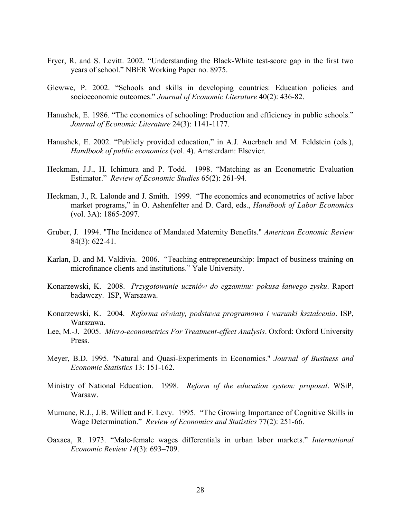- Fryer, R. and S. Levitt. 2002. "Understanding the Black-White test-score gap in the first two years of school." NBER Working Paper no. 8975.
- Glewwe, P. 2002. "Schools and skills in developing countries: Education policies and socioeconomic outcomes." *Journal of Economic Literature* 40(2): 436-82.
- Hanushek, E. 1986. "The economics of schooling: Production and efficiency in public schools." *Journal of Economic Literature* 24(3): 1141-1177.
- Hanushek, E. 2002. "Publicly provided education," in A.J. Auerbach and M. Feldstein (eds.), *Handbook of public economics* (vol. 4). Amsterdam: Elsevier.
- Heckman, J.J., H. Ichimura and P. Todd. 1998. "Matching as an Econometric Evaluation Estimator." *Review of Economic Studies* 65(2): 261-94.
- Heckman, J., R. Lalonde and J. Smith. 1999. "The economics and econometrics of active labor market programs," in O. Ashenfelter and D. Card, eds., *Handbook of Labor Economics* (vol. 3A): 1865-2097.
- Gruber, J. 1994. "The Incidence of Mandated Maternity Benefits." *American Economic Review* 84(3): 622-41.
- Karlan, D. and M. Valdivia. 2006. "Teaching entrepreneurship: Impact of business training on microfinance clients and institutions." Yale University.
- Konarzewski, K. 2008. *Przygotowanie uczniów do egzaminu: pokusa łatwego zysku*. Raport badawczy. ISP, Warszawa.
- Konarzewski, K. 2004. *Reforma oświaty, podstawa programowa i warunki kształcenia*. ISP, Warszawa.
- Lee, M.-J. 2005. *Micro-econometrics For Treatment-effect Analysis*. Oxford: Oxford University Press.
- Meyer, B.D. 1995. "Natural and Quasi-Experiments in Economics." *Journal of Business and Economic Statistics* 13: 151-162.
- Ministry of National Education. 1998. *Reform of the education system: proposal*. WSiP, Warsaw.
- Murnane, R.J., J.B. Willett and F. Levy. 1995. "The Growing Importance of Cognitive Skills in Wage Determination." *Review of Economics and Statistics* 77(2): 251-66.
- Oaxaca, R. 1973. "Male-female wages differentials in urban labor markets." *International Economic Review 14*(3): 693–709.